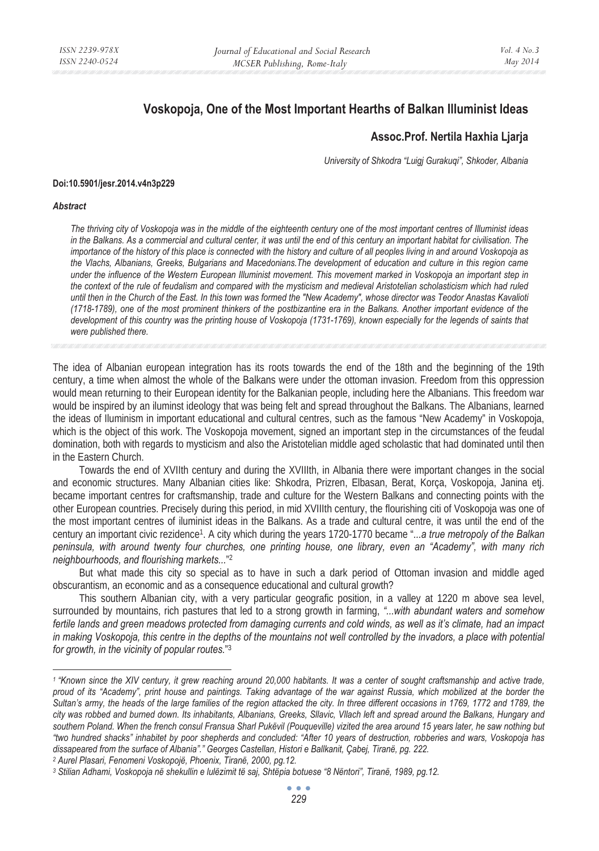# **Voskopoja, One of the Most Important Hearths of Balkan Illuminist Ideas**

## **Assoc.Prof. Nertila Haxhia Ljarja**

*University of Shkodra "Luigj Gurakuqi", Shkoder, Albania* 

#### **Doi:10.5901/jesr.2014.v4n3p229**

#### *Abstract*

*The thriving city of Voskopoja was in the middle of the eighteenth century one of the most important centres of Illuminist ideas in the Balkans. As a commercial and cultural center, it was until the end of this century an important habitat for civilisation. The importance of the history of this place is connected with the history and culture of all peoples living in and around Voskopoja as the Vlachs, Albanians, Greeks, Bulgarians and Macedonians.The development of education and culture in this region came under the influence of the Western European Illuminist movement. This movement marked in Voskopoja an important step in the context of the rule of feudalism and compared with the mysticism and medieval Aristotelian scholasticism which had ruled until then in the Church of the East. In this town was formed the "New Academy", whose director was Teodor Anastas Kavalioti (1718-1789), one of the most prominent thinkers of the postbizantine era in the Balkans. Another important evidence of the development of this country was the printing house of Voskopoja (1731-1769), known especially for the legends of saints that were published there.* 

The idea of Albanian european integration has its roots towards the end of the 18th and the beginning of the 19th century, a time when almost the whole of the Balkans were under the ottoman invasion. Freedom from this oppression would mean returning to their European identity for the Balkanian people, including here the Albanians. This freedom war would be inspired by an iluminst ideology that was being felt and spread throughout the Balkans. The Albanians, learned the ideas of Iluminism in important educational and cultural centres, such as the famous "New Academy" in Voskopoja, which is the object of this work. The Voskopoja movement, signed an important step in the circumstances of the feudal domination, both with regards to mysticism and also the Aristotelian middle aged scholastic that had dominated until then in the Eastern Church.

Towards the end of XVIIth century and during the XVIIIth, in Albania there were important changes in the social and economic structures. Many Albanian cities like: Shkodra, Prizren, Elbasan, Berat, Korça, Voskopoja, Janina etj. became important centres for craftsmanship, trade and culture for the Western Balkans and connecting points with the other European countries. Precisely during this period, in mid XVIIIth century, the flourishing citi of Voskopoja was one of the most important centres of iluminist ideas in the Balkans. As a trade and cultural centre, it was until the end of the century an important civic rezidence1. A city which during the years 1720-1770 became "*...a true metropoly of the Balkan peninsula, with around twenty four churches, one printing house, one library, even an "Academy", with many rich neighbourhoods, and flourishing markets...*" 2

But what made this city so special as to have in such a dark period of Ottoman invasion and middle aged obscurantism, an economic and as a consequence educational and cultural growth?

This southern Albanian city, with a very particular geografic position, in a valley at 1220 m above sea level, surrounded by mountains, rich pastures that led to a strong growth in farming, *"...with abundant waters and somehow fertile lands and green meadows protected from damaging currents and cold winds, as well as it's climate, had an impact in making Voskopoja, this centre in the depths of the mountains not well controlled by the invadors, a place with potential for growth, in the vicinity of popular routes.*" 3

*<sup>1 &</sup>quot;Known since the XIV century, it grew reaching around 20,000 habitants. It was a center of sought craftsmanship and active trade,*  proud of its "Academy", print house and paintings. Taking advantage of the war against Russia, which mobilized at the border the *Sultan's army, the heads of the large families of the region attacked the city. In three different occasions in 1769, 1772 and 1789, the city was robbed and burned down. Its inhabitants, Albanians, Greeks, Sllavic, Vllach left and spread around the Balkans, Hungary and southern Poland. When the french consul Fransua Sharl Pukëvil (Pouqueville) vizited the area around 15 years later, he saw nothing but "two hundred shacks" inhabitet by poor shepherds and concluded: "After 10 years of destruction, robberies and wars, Voskopoja has*  dissapeared from the surface of Albania"." Georges Castellan, Histori e Ballkanit, Çabej, Tiranë, pg. 222.<br><sup>2</sup> Aurel Plasari, Fenomeni Voskopojë, Phoenix, Tiranë, 2000, pg.12.<br><sup>3</sup> Stilian Adhami, Voskopoja në shekullin e l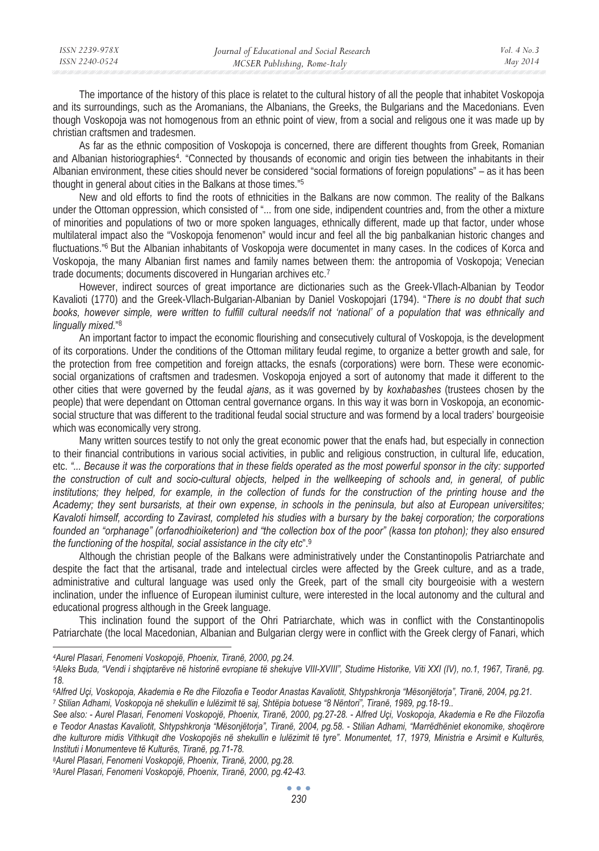| ISSN 2239-978X | Journal of Educational and Social Research | Vol. $4$ No. $3$ |
|----------------|--------------------------------------------|------------------|
| ISSN 2240-0524 | MCSER Publishing, Rome-Italy               | May 2014         |
|                |                                            |                  |

The importance of the history of this place is relatet to the cultural history of all the people that inhabitet Voskopoja and its surroundings, such as the Aromanians, the Albanians, the Greeks, the Bulgarians and the Macedonians. Even though Voskopoja was not homogenous from an ethnic point of view, from a social and religous one it was made up by christian craftsmen and tradesmen.

As far as the ethnic composition of Voskopoja is concerned, there are different thoughts from Greek, Romanian and Albanian historiographies4. "Connected by thousands of economic and origin ties between the inhabitants in their Albanian environment, these cities should never be considered "social formations of foreign populations" – as it has been thought in general about cities in the Balkans at those times*.*" 5

New and old efforts to find the roots of ethnicities in the Balkans are now common. The reality of the Balkans under the Ottoman oppression, which consisted of "... from one side, indipendent countries and, from the other a mixture of minorities and populations of two or more spoken languages, ethnically different, made up that factor, under whose multilateral impact also the "Voskopoja fenomenon" would incur and feel all the big panbalkanian historic changes and fluctuations.<sup>"6</sup> But the Albanian inhabitants of Voskopoja were documentet in many cases. In the codices of Korca and Voskopoja, the many Albanian first names and family names between them: the antropomia of Voskopoja; Venecian trade documents; documents discovered in Hungarian archives etc.7

However, indirect sources of great importance are dictionaries such as the Greek-Vllach-Albanian by Teodor Kavalioti (1770) and the Greek-Vllach-Bulgarian-Albanian by Daniel Voskopojari (1794). "*There is no doubt that such books, however simple, were written to fulfill cultural needs/if not 'national' of a population that was ethnically and lingually mixed.*" 8

An important factor to impact the economic flourishing and consecutively cultural of Voskopoja, is the development of its corporations. Under the conditions of the Ottoman military feudal regime, to organize a better growth and sale, for the protection from free competition and foreign attacks, the esnafs (corporations) were born. These were economicsocial organizations of craftsmen and tradesmen. Voskopoja enjoyed a sort of autonomy that made it different to the other cities that were governed by the feudal *ajans*, as it was governed by by *koxhabashes* (trustees chosen by the people) that were dependant on Ottoman central governance organs. In this way it was born in Voskopoja, an economicsocial structure that was different to the traditional feudal social structure and was formend by a local traders' bourgeoisie which was economically very strong.

Many written sources testify to not only the great economic power that the enafs had, but especially in connection to their financial contributions in various social activities, in public and religious construction, in cultural life, education, etc. *"... Because it was the corporations that in these fields operated as the most powerful sponsor in the city: supported the construction of cult and socio-cultural objects, helped in the wellkeeping of schools and, in general, of public institutions; they helped, for example, in the collection of funds for the construction of the printing house and the Academy; they sent bursarists, at their own expense, in schools in the peninsula, but also at European universitites; Kavaloti himself, according to Zavirast, completed his studies with a bursary by the bakej corporation; the corporations founded an "orphanage" (orfanodhioiketerion) and "the collection box of the poor" (kassa ton ptohon); they also ensured the functioning of the hospital, social assistance in the city etc*".9

Although the christian people of the Balkans were administratively under the Constantinopolis Patriarchate and despite the fact that the artisanal, trade and intelectual circles were affected by the Greek culture, and as a trade, administrative and cultural language was used only the Greek, part of the small city bourgeoisie with a western inclination, under the influence of European iluminist culture, were interested in the local autonomy and the cultural and educational progress although in the Greek language.

This inclination found the support of the Ohri Patriarchate, which was in conflict with the Constantinopolis Patriarchate (the local Macedonian, Albanian and Bulgarian clergy were in conflict with the Greek clergy of Fanari, which

*9Aurel Plasari, Fenomeni Voskopojë, Phoenix, Tiranë, 2000, pg.42-43.* 

*<sup>4</sup>Aurel Plasari, Fenomeni Voskopojë, Phoenix, Tiranë, 2000, pg.24.* 

*<sup>5</sup>Aleks Buda, "Vendi i shqiptarëve në historinë evropiane të shekujve VIII-XVIII", Studime Historike, Viti XXI (IV), no.1, 1967, Tiranë, pg. 18.* 

<sup>&</sup>lt;sup>6</sup>Alfred Uçi, Voskopoja, Akademia e Re dhe Filozofia e Teodor Anastas Kavaliotit, Shtypshkronja "Mësonjëtorja", Tiranë, 2004, pg.21.<br>7 Stilian Adhami, Voskopoja në shekullin e lulëzimit të saj, Shtëpia botuese "8 Nëntori"

*See also: - Aurel Plasari, Fenomeni Voskopojë, Phoenix, Tiranë, 2000, pg.27-28. - Alfred Uçi, Voskopoja, Akademia e Re dhe Filozofia e Teodor Anastas Kavaliotit, Shtypshkronja "Mësonjëtorja", Tiranë, 2004, pg.58. - Stilian Adhami, "Marrëdhëniet ekonomike, shoqërore dhe kulturore midis Vithkuqit dhe Voskopojës në shekullin e lulëzimit të tyre". Monumentet, 17, 1979, Ministria e Arsimit e Kulturës, Instituti i Monumenteve të Kulturës, Tiranë, pg.71-78. 8Aurel Plasari, Fenomeni Voskopojë, Phoenix, Tiranë, 2000, pg.28.*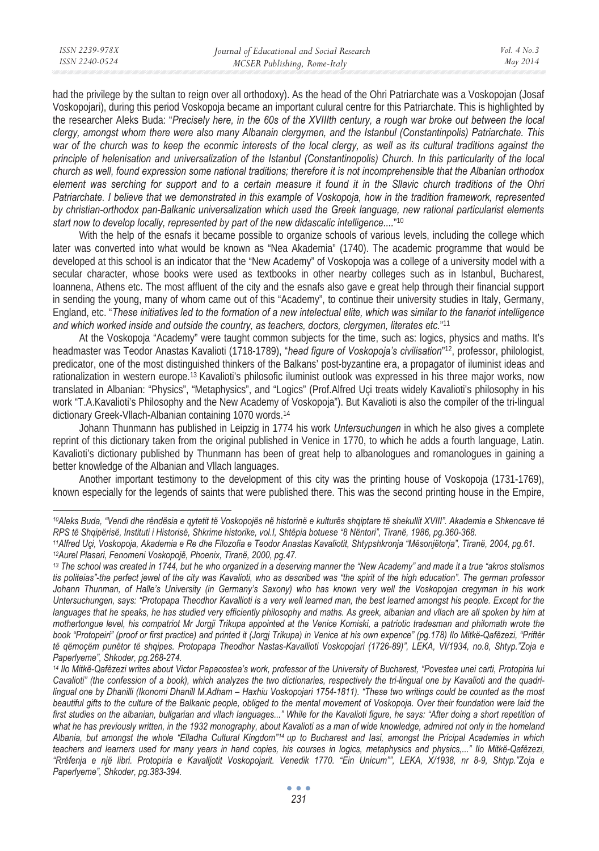had the privilege by the sultan to reign over all orthodoxy). As the head of the Ohri Patriarchate was a Voskopojan (Josaf Voskopojari), during this period Voskopoja became an important culural centre for this Patriarchate. This is highlighted by the researcher Aleks Buda: "*Precisely here, in the 60s of the XVIIIth century, a rough war broke out between the local clergy, amongst whom there were also many Albanain clergymen, and the Istanbul (Constantinpolis) Patriarchate. This war of the church was to keep the econmic interests of the local clergy, as well as its cultural traditions against the principle of helenisation and universalization of the Istanbul (Constantinopolis) Church. In this particularity of the local church as well, found expression some national traditions; therefore it is not incomprehensible that the Albanian orthodox element was serching for support and to a certain measure it found it in the Sllavic church traditions of the Ohri Patriarchate. I believe that we demonstrated in this example of Voskopoja, how in the tradition framework, represented by christian-orthodox pan-Balkanic universalization which used the Greek language, new rational particularist elements start now to develop locally, represented by part of the new didascalic intelligence....*" 10

With the help of the esnafs it became possible to organize schools of various levels, including the college which later was converted into what would be known as "Nea Akademia" (1740). The academic programme that would be developed at this school is an indicator that the "New Academy" of Voskopoja was a college of a university model with a secular character, whose books were used as textbooks in other nearby colleges such as in Istanbul, Bucharest, Ioannena, Athens etc. The most affluent of the city and the esnafs also gave e great help through their financial support in sending the young, many of whom came out of this "Academy", to continue their university studies in Italy, Germany, England, etc. "*These initiatives led to the formation of a new intelectual elite, which was similar to the fanariot intelligence and which worked inside and outside the country, as teachers, doctors, clergymen, literates etc.*" 11

At the Voskopoja "Academy" were taught common subjects for the time, such as: logics, physics and maths. It's headmaster was Teodor Anastas Kavalioti (1718-1789), "*head figure of Voskopoja's civilisation*" 12, professor, philologist, predicator, one of the most distinguished thinkers of the Balkans' post-byzantine era, a propagator of iluminist ideas and rationalization in western europe.13 Kavalioti's philosofic iluminist outlook was expressed in his three major works, now translated in Albanian: "Physics", "Metaphysics", and "Logics" (Prof.Alfred Uçi treats widely Kavalioti's philosophy in his work "T.A.Kavalioti's Philosophy and the New Academy of Voskopoja"). But Kavalioti is also the compiler of the tri-lingual dictionary Greek-Vllach-Albanian containing 1070 words.14

Johann Thunmann has published in Leipzig in 1774 his work *Untersuchungen* in which he also gives a complete reprint of this dictionary taken from the original published in Venice in 1770, to which he adds a fourth language, Latin. Kavalioti's dictionary published by Thunmann has been of great help to albanologues and romanologues in gaining a better knowledge of the Albanian and Vllach languages.

Another important testimony to the development of this city was the printing house of Voskopoja (1731-1769), known especially for the legends of saints that were published there. This was the second printing house in the Empire,

*<sup>10</sup>Aleks Buda, "Vendi dhe rëndësia e qytetit të Voskopojës në historinë e kulturës shqiptare të shekullit XVIII". Akademia e Shkencave të* 

RPS të Shqipërisë, Instituti i Historisë, Shkrime historike, vol.I, Shtëpia botuese "8 Nëntori", Tiranë, 1986, pg.360-368.<br>11Alfred Uçi, Voskopoja, Akademia e Re dhe Filozofia e Teodor Anastas Kavaliotit, Shtypshkronja "Më

*<sup>13</sup> The school was created in 1744, but he who organized in a deserving manner the "New Academy" and made it a true "akros stolismos tis politeias"-the perfect jewel of the city was Kavalioti, who as described was "the spirit of the high education". The german professor Johann Thunman, of Halle's University (in Germany's Saxony) who has known very well the Voskopojan cregyman in his work Untersuchungen, says: "Protopapa Theodhor Kavallioti is a very well learned man, the best learned amongst his people. Except for the*  languages that he speaks, he has studied very efficiently philosophy and maths. As greek, albanian and vllach are all spoken by him at *mothertongue level, his compatriot Mr Jorgji Trikupa appointed at the Venice Komiski, a patriotic tradesman and philomath wrote the book "Protopeiri" (proof or first practice) and printed it (Jorgj Trikupa) in Venice at his own expence" (pg.178) Ilo Mitkë-Qafëzezi, "Priftër të qëmoçëm punëtor të shqipes. Protopapa Theodhor Nastas-Kavallioti Voskopojari (1726-89)", LEKA, VI/1934, no.8, Shtyp."Zoja e Paperlyeme", Shkoder, pg.268-274.* 

*<sup>14</sup> Ilo Mitkë-Qafëzezi writes about Victor Papacostea's work, professor of the University of Bucharest, "Povestea unei carti, Protopiria lui Cavalioti" (the confession of a book), which analyzes the two dictionaries, respectively the tri-lingual one by Kavalioti and the quadrilingual one by Dhanilli (Ikonomi Dhanill M.Adham – Haxhiu Voskopojari 1754-1811). "These two writings could be counted as the most*  beautiful gifts to the culture of the Balkanic people, obliged to the mental movement of Voskopoja. Over their foundation were laid the first studies on the albanian, bullgarian and vllach languages..." While for the Kavalioti figure, he says: "After doing a short repetition of *what he has previously written, in the 1932 monography, about Kavalioti as a man of wide knowledge, admired not only in the homeland Albania, but amongst the whole "Elladha Cultural Kingdom"14 up to Bucharest and Iasi, amongst the Pricipal Academies in which teachers and learners used for many years in hand copies, his courses in logics, metaphysics and physics,..." Ilo Mitkë-Qafëzezi, "Rrëfenja e një libri. Protopiria e Kavalljotit Voskopojarit. Venedik 1770. "Ein Unicum"", LEKA, X/1938, nr 8-9, Shtyp."Zoja e Paperlyeme", Shkoder, pg.383-394.*